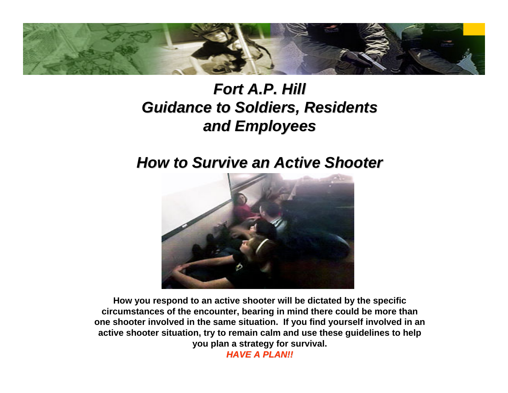

#### *Fort A.P. Hill Guidance to Soldiers, Residents Guidance to Soldiers, Residents and Employees and Employees*

#### *How to Survive an Active Shooter How to Survive an Active Shooter*



**How you respond to an active shooter will be dictated by the specific circumstances of the encounter, bearing in mind there could be more than one shooter involved in the same situation. If you find yourself involved in an active shooter situation, try to remain calm and use these guidelines to help you plan a strategy for survival.**

*HAVE A PLAN!! HAVE A PLAN!!*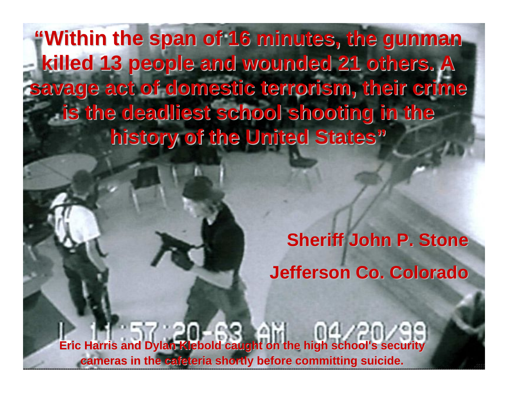"Within the span of 16 minutes, the gunman **killed 13 people and wounded 21 others. A killed 13 people and wounded 21 others. A [savage act of domestic terrorism, their crime savage act of domestic terrorism, their crime](http://upload.wikimedia.org/wikipedia/en/d/dc/Eric_harris_dylan_klebold.jpg)  is the deadliest school shooting in the is the deadliest school shooting in the history of the United States history of the United States"**

> **Sheriff John P. Stone Sheriff John P. Stone Jefferson Co. Colorado Jefferson Co. Colorado**

**Eric Harris and Dylan Klebold caught on the high school's security cameras in the cafeteria shortly before committing suicide. cameras the cafeteria shortly before committing suicide.**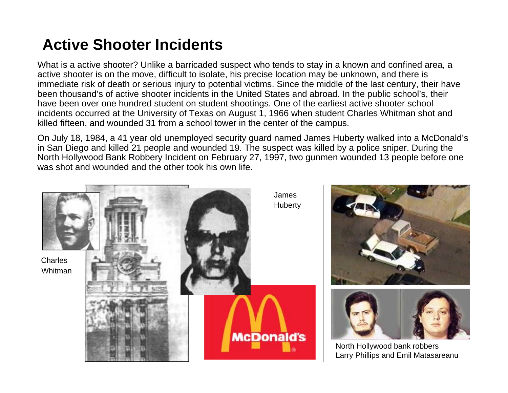#### **Active Shooter Incidents**

What is a active shooter? Unlike a barricaded suspect who tends to stay in a known and confined area, a active shooter is on the move, difficult to isolate, his precise location may be unknown, and there is immediate risk of death or serious injury to potential victims. Since the middle of the last century, their have been thousand's of active shooter incidents in the United States and abroad. In the public school's, their have been over one hundred student on student shootings. One of the earliest active shooter school incidents occurred at the University of Texas on August 1, 1966 when student Charles Whitman shot and killed fifteen, and wounded 31 from a school tower in the center of the campus.

On July 18, 1984, a 41 year old unemployed security guard named James Huberty walked into a McDonald's in San Diego and killed 21 people and wounded 19. The suspect was killed by a police sniper. During the North Hollywood Bank Robbery Incident on February 27, 1997, two gunmen wounded 13 people before one was shot and wounded and the other took his own life.

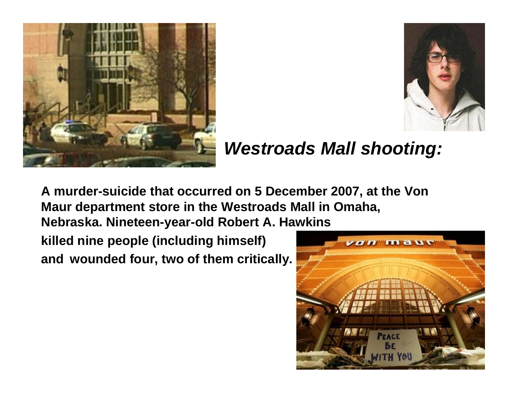



#### *[Westroads Mall shooting:](http://en.wikipedia.org/wiki/Image:VonMaurOmaha.jpg)*

**[A murder-suicide that occurred on 5 December 2007, at the Von](http://upload.wikimedia.org/wikipedia/en/d/d1/Von_Maur_memorial.jpg)  Maur department store in the Westroads Mall in Omaha,** 

**Nebraska. Nineteen-year-old Robert A. Hawkins** 

**killed nine people (including himself) and wounded four, two of them critically.** 

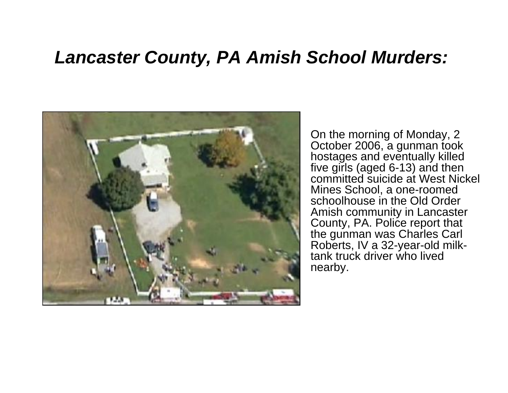#### *Lancaster County, PA Amish School Murders:*



On the morning of Monday, 2 October 2006, a gunman took hostages and eventually killed five girls (aged 6-13) and then committed suicide at West Nickel Mines School, a one-roomed schoolhouse in the Old Order Amish community in Lancaster County, PA. Police report that the gunman was Charles Carl Roberts, IV a 32-year-old milktank truck driver who lived nearby.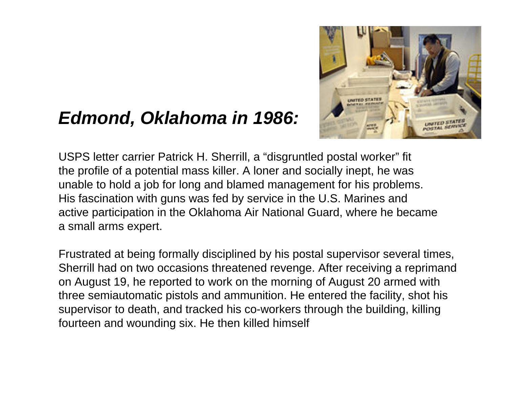#### *Edmond, Oklahoma in 1986:*



USPS letter carrier Patrick H. Sherrill, a "disgruntled postal worker" fit the profile of a potential mass killer. A loner and socially inept, he was unable to hold a job for long and blamed management for his problems. His fascination with guns was fed by service in the U.S. Marines and active participation in the Oklahoma Air National Guard, where he became a small arms expert.

Frustrated at being formally disciplined by his postal supervisor several times, Sherrill had on two occasions threatened revenge. After receiving a reprimand on August 19, he reported to work on the morning of August 20 armed with three semiautomatic pistols and ammunition. He entered the facility, shot his supervisor to death, and tracked his co-workers through the building, killing fourteen and wounding six. He then killed himself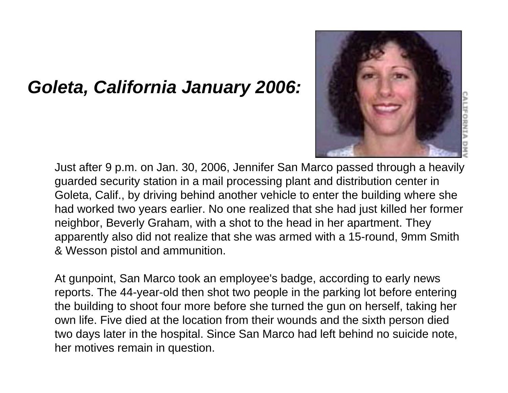#### *Goleta, California January 2006:*



Just after 9 p.m. on Jan. 30, 2006, Jennifer San Marco passed through a heavily guarded security station in a mail processing plant and distribution center in Goleta, Calif., by driving behind another vehicle to enter the building where she had worked two years earlier. No one realized that she had just killed her former neighbor, Beverly Graham, with a shot to the head in her apartment. They apparently also did not realize that she was armed with a 15-round, 9mm Smith & Wesson pistol and ammunition.

At gunpoint, San Marco took an employee's badge, according to early news reports. The 44-year-old then shot two people in the parking lot before entering the building to shoot four more before she turned the gun on herself, taking her own life. Five died at the location from their wounds and the sixth person died two days later in the hospital. Since San Marco had left behind no suicide note, her motives remain in question.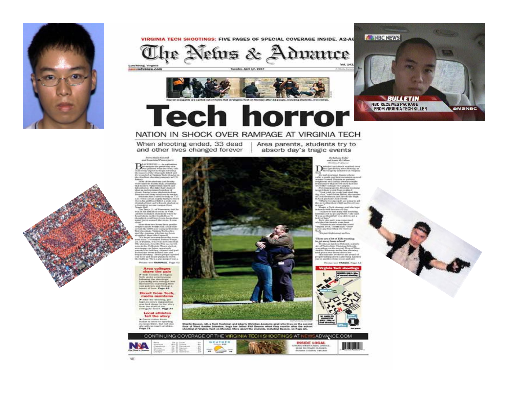

#### VIRGINIA TECH SHOOTINGS: FIVE PAGES OF SPECIAL COVERAGE INSIDE, A2-A6

The Netus & Advance



Tuesday, April 17, 2007



**BULLETIN NBC RECEIVES PACKAGE FROM VIRGINIA TECH KILLER** 

**AMSNBC** 

**ALL NBC NEWS** 

#### **Tech horror**

#### NATION IN SHOCK OVER RAMPAGE AT VIRGINIA TECH

When shooting ended, 33 dead and other lives changed forever

**Frenchfields General**<br>and Associated Prace reports

 $\mathbf{B}^{\text{local} \, \text{nonlocal} \, \text{nonlocal} \, \text{nonlocal} \, \text{on} \, \text{nonlocal} \, \text{on} \, \text{nonlocal} \, \text{on} \, \text{nonlocal} \, \text{on} \, \text{nonlocal} \, \text{nonlocal} \, \text{nonlocal} \, \text{nonlocal} \, \text{nonlocal} \, \text{nonlocal} \, \text{nonlocal} \, \text{nonlocal} \, \text{nonlocal} \, \text{nonlocal} \, \text{nonlocal} \, \text{nonlocal} \, \text{nonlocal} \, \text{nonlocal} \, \text{nonlocal} \, \text{nonlocal} \, \text$ 

the thermal contract to the space of the space of the space of the space of the space of the space of the space of the space of the space of the space of the space of the space of the space of the space of the space of th

 $\alpha$  and the state state of the state of the state of the state of the state of the state of the state of the state of the state of the state of the state of the state of the state of the state of the state of the state o Phisna see **EAMPAGE**, Page 42

**Area** colleges

share the pain 

Direct from Tech. media maintains

A after the wanting particular to the state of the state<br>was been dependent to the state of the state of the state<br>formula forms. Page A4

#### **Local athletes** tell the story

P. Execut further function<br>Findish rs speed to approximate the state of the first trees<br>in the with the streeth of white the<br>Page C1.



Sharld Beason, 18, a Tech bushman and Liberty Christian Adademy grad who lives on the second<br>Suor of West Ansker Johnston, hugs her father Phil Beason when they sussive after the achied<br>shortling at Virgisla Tech on Monday

CONTINUING COVERAGE OF THE VIRGINIA TECH SHOOTINGS AT NEWSADVANCE COM



**District Constitution** 

We se

the Barbara Fader end Anni McCallan

**By exhausters** frame-show







Area parents, students try to

absorb day's tragic events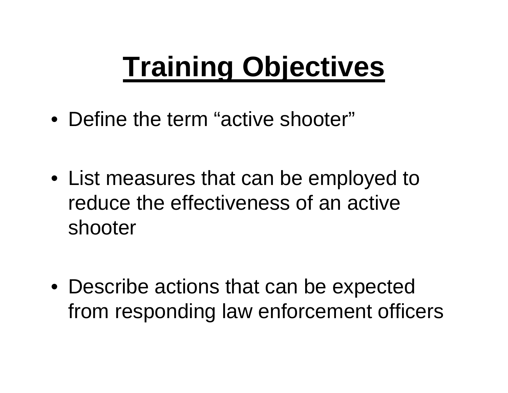## **Training Objectives**

• Define the term "active shooter"

• List measures that can be employed to reduce the effectiveness of an active shooter

• Describe actions that can be expected from responding law enforcement officers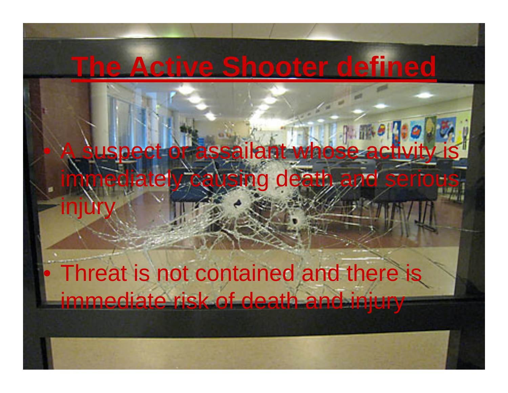#### **The Active Shooter defined**

# uspect or assailant whose activity mediately causing death and serious

 Threat is not contained and there is immediate risk of death and injury

injur

 $\bullet$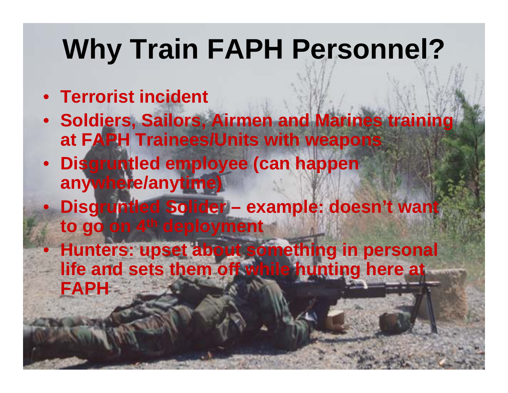## **Why Train FAPH Personnel?**

- **Terrorist incident**
- **Soldiers, Sailors, Airmen and Marines training at FAPH Trainees/Units with weapons**
- **Disgruntled employee (can happen anywhere/anytime)**
- **Disgruntled Solider – example: doesn't want to go on 4th deployment**
- $\bullet$  **Hunters: upset about something in personal life and sets them off while hunting here at FAPH**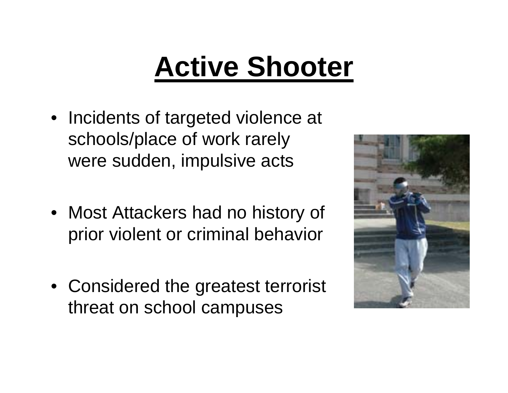# **Active Shooter**

- Incidents of targeted violence at schools/place of work rarely were sudden, impulsive acts
- Most Attackers had no history of prior violent or criminal behavior
- Considered the greatest terrorist threat on school campuses

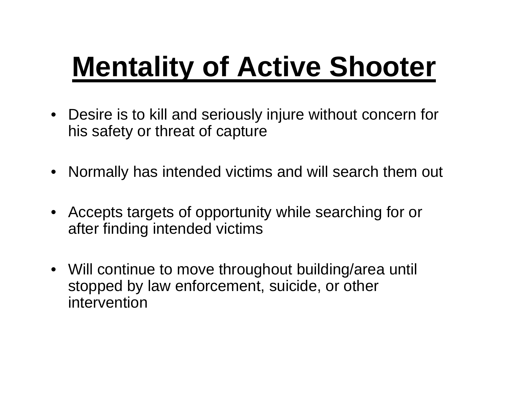# **Mentality of Active Shooter**

- Desire is to kill and seriously injure without concern for his safety or threat of capture
- Normally has intended victims and will search them out
- • Accepts targets of opportunity while searching for or after finding intended victims
- Will continue to move throughout building/area until stopped by law enforcement, suicide, or other intervention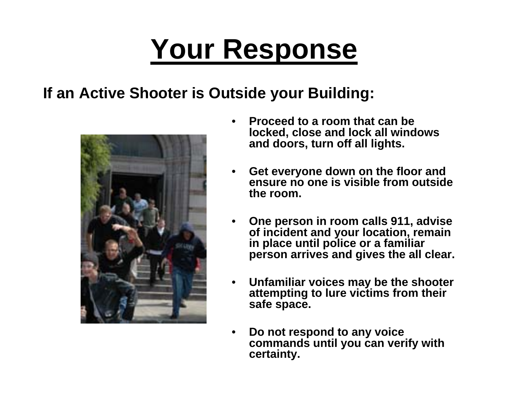#### **If an Active Shooter is Outside your Building:**



- • **Proceed to a room that can be locked, close and lock all windows and doors, turn off all lights.**
- • **Get everyone down on the floor and ensure no one is visible from outside the room.**
- • **One person in room calls 911, advise of incident and your location, remain in place until police or a familiar person arrives and gives the all clear.**
- • **Unfamiliar voices may be the shooter attempting to lure victims from their safe space.**
- • **Do not respond to any voice commands until you can verify with certainty.**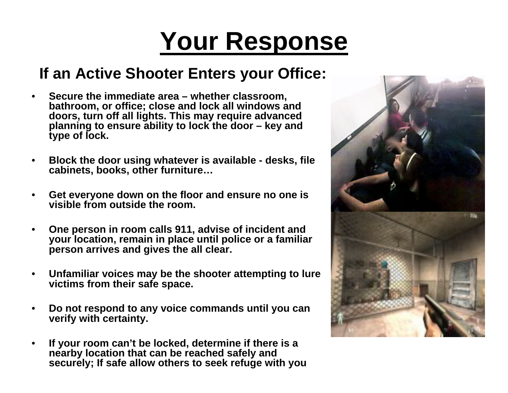#### **[If an Active Shooter Enters your Office:](http://en.wikipedia.org/wiki/Image:Virginia_Tech_massacre_Damiano_photo_from_Holden_Hall_modified2.jpg)**

- • **Secure the immediate area – whether classroom, bathroom, or office; close and lock all windows and doors, turn off all lights. This may require advanced planning to ensure ability to lock the door – key and type of lock.**
- • **Block the door using whatever is available - desks, file cabinets, books, other furniture…**
- • **Get everyone down on the floor and ensure no one is visible from outside the room.**
- • **One person in room calls 911, advise of incident and your location, remain in place until police or a familiar person arrives and gives the all clear.**
- • **Unfamiliar voices may be the shooter attempting to lure victims from their safe space.**
- • **Do not respond to any voice commands until you can verify with certainty.**
- • **If your room can't be locked, determine if there is a nearby location that can be reached safely and securely; If safe allow others to seek refuge with you**

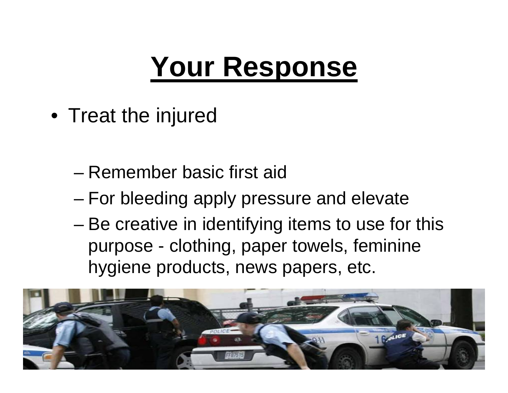• Treat the injured

- Remember basic first aid
- and the state of the state For bleeding apply pressure and elevate
- – Be creative in identifying items to use for this purpose - clothing, paper towels, feminine hygiene products, news papers, etc.

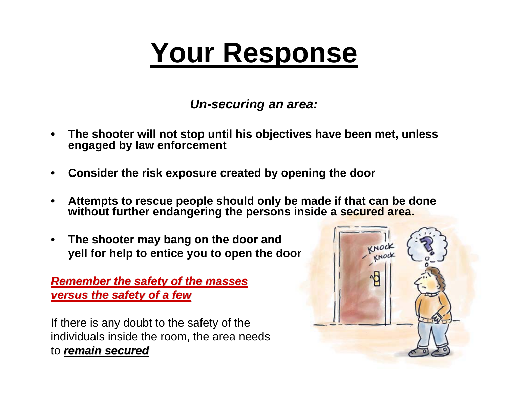*Un-securing an area:*

- • **The shooter will not stop until his objectives have been met, unless engaged by law enforcement**
- •**Consider the risk exposure created by opening the door**
- • **Attempts to rescue people should only be made if that can be done without further endangering the persons inside a secured area.**
- • **The shooter may bang on the door and yell for help to entice you to open the door**

*Remember the safety of the masses* **versus the safety of a few** 

If there is any doubt to the safety of the individuals inside the room, the area needs to *remain secured remain secured*

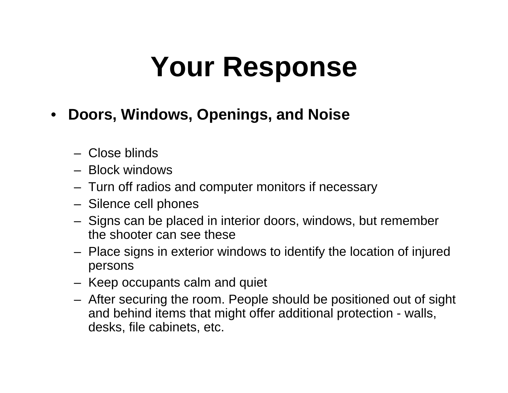- $\bullet$  **Doors, Windows, Openings, and Noise**
	- Close blinds
	- Block windows
	- Turn off radios and computer monitors if necessary
	- Silence cell phones
	- – Signs can be placed in interior doors, windows, but remember the shooter can see these
	- Place signs in exterior windows to identify the location of injured persons
	- Keep occupants calm and quiet
	- After securing the room. People should be positioned out of sight and behind items that might offer additional protection - walls, desks, file cabinets, etc.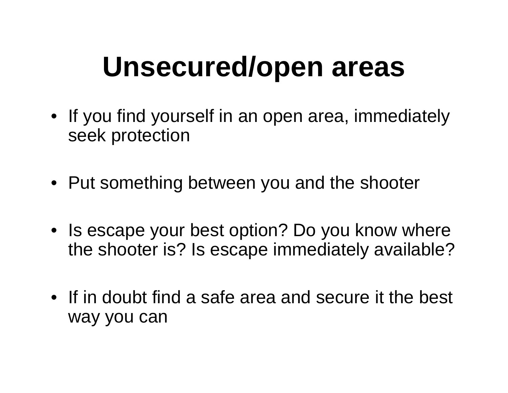### **Unsecured/open areas**

- If you find yourself in an open area, immediately seek protection
- Put something between you and the shooter
- Is escape your best option? Do you know where the shooter is? Is escape immediately available?
- If in doubt find a safe area and secure it the best way you can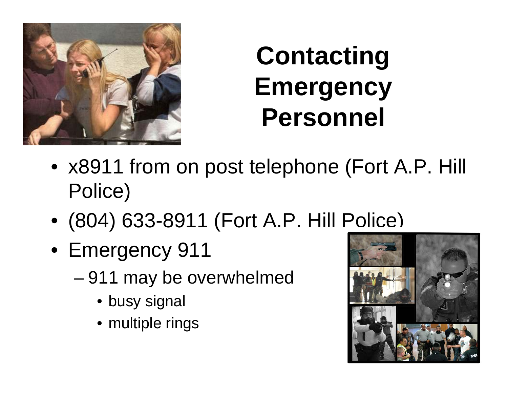

### **Contacting Emergency Personnel**

- x8911 from on post telephone (Fort A.P. Hill Police)
- (804) 633-8911 (Fort A.P. Hill Police)
- Emergency 911
	- – 911 may be overwhelmed
		- busy signal
		- multiple rings

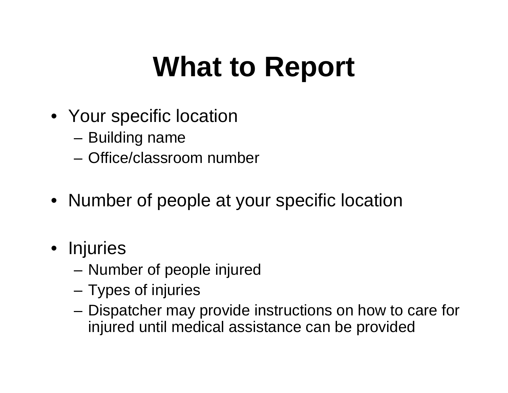# **What to Report**

- Your specific location
	- –Building name
	- Office/classroom number
- Number of people at your specific location
- Injuries
	- –Number of people injured
	- **Links of the Common** Types of injuries
	- and the state of the Dispatcher may provide instructions on how to care for injured until medical assistance can be provided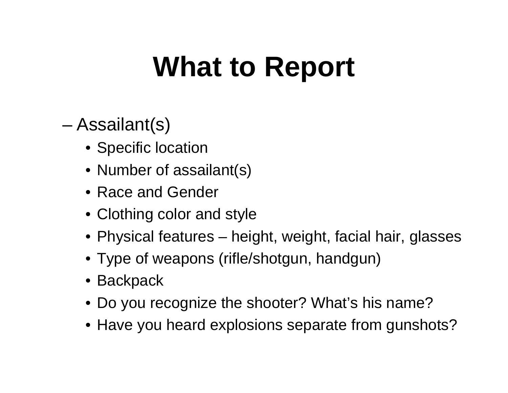# **What to Report**

- – Assailant(s)
	- Specific location
	- Number of assailant(s)
	- Race and Gender
	- Clothing color and style
	- Physical features height, weight, facial hair, glasses
	- Type of weapons (rifle/shotgun, handgun)
	- Backpack
	- Do you recognize the shooter? What's his name?
	- Have you heard explosions separate from gunshots?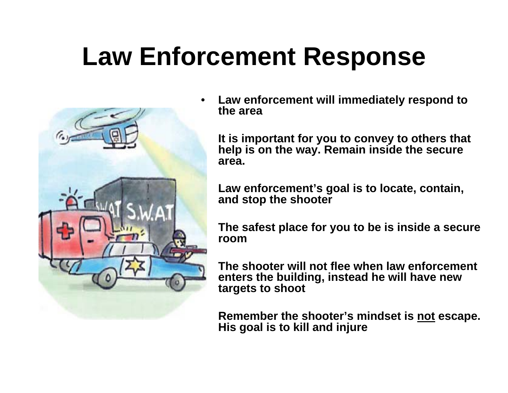#### **Law Enforcement Response**



• **Law enforcement will immediately respond to the area**

 **It is important for you to convey to others that help is on the way. Remain inside the secure area.**

 **Law enforcement's goal is to locate, contain, and stop the shooter**

 **The safest place for you to be is inside a secure room**

 **The shooter will not flee when law enforcement enters the building, instead he will have new targets to shoot**

 **Remember the shooter's mindset is not escape. His goal is to kill and injure**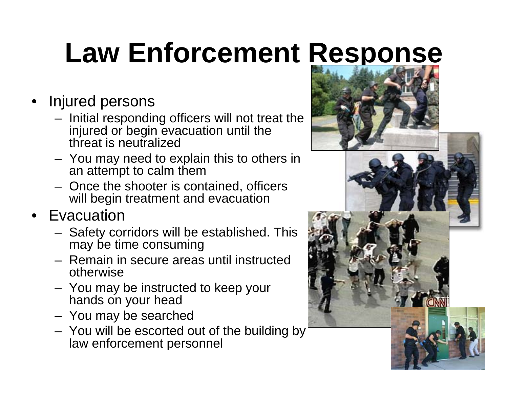# **Law Enforcement Response**

- • Injured persons
	- Initial responding officers will not treat the injured or begin evacuation until the threat is neutralized
	- You may need to explain this to others in an attempt to calm them
	- Once the shooter is contained, officers will begin treatment and evacuation
- • Evacuation
	- Safety corridors will be established. This may be time consuming
	- Remain in secure areas until instructed otherwise
	- You may be instructed to keep your hands on your head
	- You may be searched
	- You will be escorted out of the building by law enforcement personnel





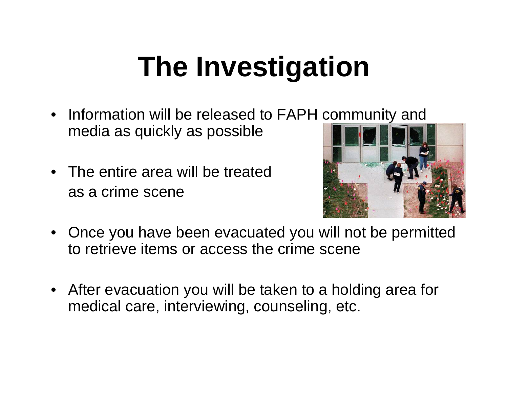# **The Investigation**

- Information will be released to FAPH community and media as quickly as possible
- The entire area will be treated as a crime scene



- Once you have been evacuated you will not be permitted to retrieve items or access the crime scene
- After evacuation you will be taken to a holding area for medical care, interviewing, counseling, etc.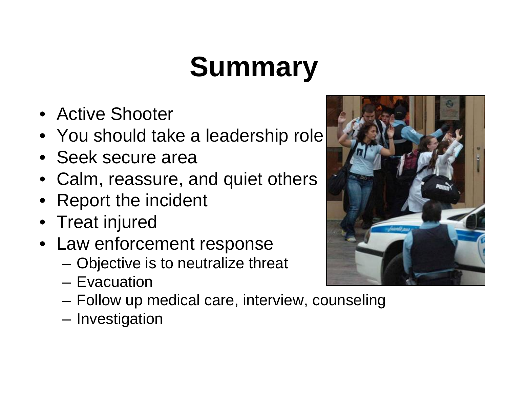# **Summary**

- Active Shooter
- You should take a leadership role
- Seek secure area
- Calm, reassure, and quiet others
- Report the incident
- Treat injured
- Law enforcement response
	- –Objective is to neutralize threat
	- Evacuation
	- **Links of the Common** Follow up medical care, interview, counseling
	- –Investigation

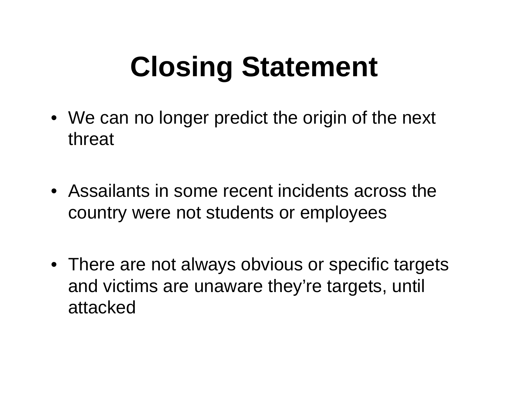# **Closing Statement**

- We can no longer predict the origin of the next threat
- Assailants in some recent incidents across the country were not students or employees
- There are not always obvious or specific targets and victims are unaware they're targets, until attacked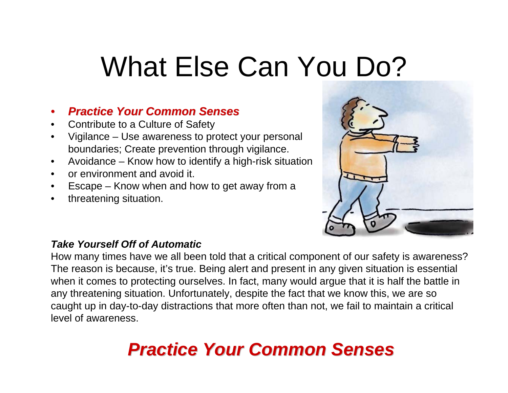## What Else Can You Do?

#### •*Practice Your Common Senses Practice Your Common Senses*

- •Contribute to a Culture of Safety
- • Vigilance – Use awareness to protect your personal boundaries; Create prevention through vigilance.
- •Avoidance – Know how to identify a high-risk situation
- •or environment and avoid it.
- •Escape – Know when and how to get away from a
- •threatening situation.



#### *Take Yourself Off of Automatic*

How many times have we all been told that a critical component of our safety is awareness? The reason is because, it's true. Being alert and present in any given situation is essential when it comes to protecting ourselves. In fact, many would argue that it is half the battle in any threatening situation. Unfortunately, despite the fact that we know this, we are so caught up in day-to-day distractions that more often than not, we fail to maintain a critical level of awareness.

#### *Practice Your Common Senses Practice Your Common Senses*